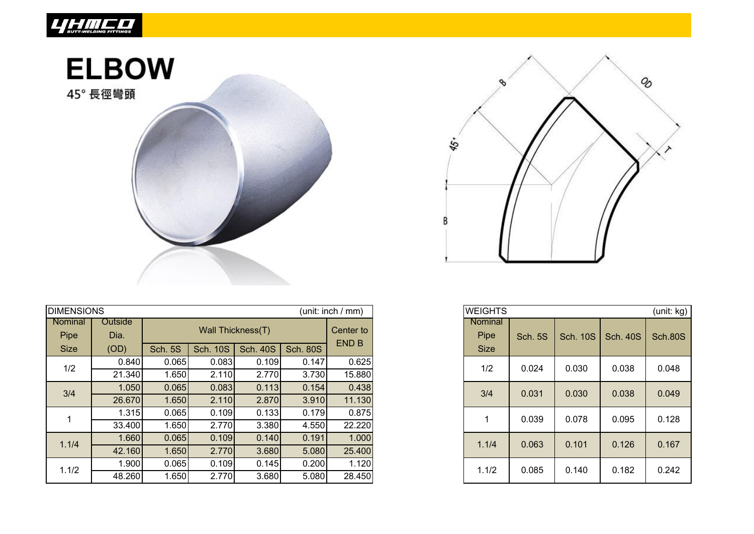

## **ELBOW**

45° 長徑彎頭



| <b>DIMENSIONS</b><br>(unit: inch / mm) |                 |                |                 |                 |                 |              |  |  |  |
|----------------------------------------|-----------------|----------------|-----------------|-----------------|-----------------|--------------|--|--|--|
| Nominal<br>Pipe                        | Outside<br>Dia. |                |                 | Center to       |                 |              |  |  |  |
| <b>Size</b>                            | (OD)            | <b>Sch. 5S</b> | <b>Sch. 10S</b> | <b>Sch. 40S</b> | <b>Sch. 80S</b> | <b>END B</b> |  |  |  |
| 1/2                                    | 0.840           | 0.065          | 0.083           | 0.109           | 0.147           | 0.625        |  |  |  |
|                                        | 21.340          | 1.650          | 2.110           | 2.770           | 3.730           | 15.880       |  |  |  |
| 3/4                                    | 1.050           | 0.065          | 0.083           | 0.113           | 0.154           | 0.438        |  |  |  |
|                                        | 26.670          | 1.650          | 2.110           | 2.870           | 3.910           | 11.130       |  |  |  |
|                                        | 1.315           | 0.065          | 0.109           | 0.133           | 0.179           | 0.875        |  |  |  |
|                                        | 33.400          | 1.650          | 2.770           | 3.380           | 4.550           | 22.220       |  |  |  |
| 1.1/4                                  | 1.660           | 0.065          | 0.109           | 0.140           | 0.191           | 1.000        |  |  |  |
|                                        | 42.160          | 1.650          | 2.770           | 3.680           | 5.080           | 25.400       |  |  |  |
| 1.1/2                                  | 1.900           | 0.065          | 0.109           | 0.145           | 0.200           | 1.120        |  |  |  |
|                                        | 48.260          | 1.650          | 2.770           | 3.680           | 5.080           | 28.450       |  |  |  |



| <b>WEIGHTS</b><br>(unit: kg)   |                |                 |                 |                |  |  |  |  |  |  |
|--------------------------------|----------------|-----------------|-----------------|----------------|--|--|--|--|--|--|
| Nominal<br>Pipe<br><b>Size</b> | <b>Sch. 5S</b> | <b>Sch. 10S</b> | <b>Sch. 40S</b> | <b>Sch.80S</b> |  |  |  |  |  |  |
| 1/2                            | 0.024          | 0.030           | 0.038           | 0.048          |  |  |  |  |  |  |
| 3/4                            | 0.031          | 0.030           | 0.038           | 0.049          |  |  |  |  |  |  |
| 1                              | 0.039          | 0.078           | 0.095           | 0.128          |  |  |  |  |  |  |
| 1.1/4                          | 0.063          | 0.101           | 0.126           | 0.167          |  |  |  |  |  |  |
| 1.1/2                          | 0.085          | 0.140           | 0.182           | 0.242          |  |  |  |  |  |  |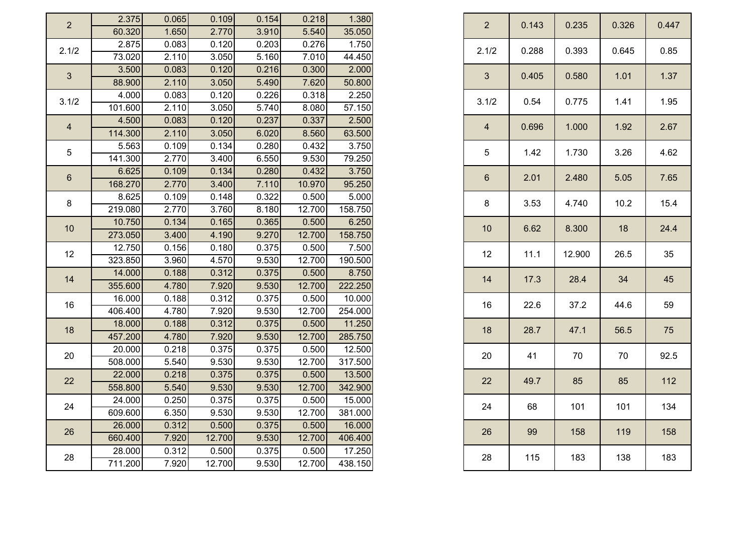| $\overline{2}$ | 2.375            | 0.065                                           | 0.109                                      | 0.154          | 0.218          | 1.380           |
|----------------|------------------|-------------------------------------------------|--------------------------------------------|----------------|----------------|-----------------|
|                | 60.320           | 1.650                                           | 2.770                                      | 3.910          | 5.540          | 35.050          |
| 2.1/2          | 2.875            | 0.083                                           | 0.120                                      | 0.203          | 0.276          | 1.750           |
|                | 73.020           | 2.110                                           | 3.050                                      | 5.160          | 7.010          | 44.450          |
| $\mathbf{3}$   | 3.500            | 0.083                                           | 0.120                                      | 0.216          | 0.300          | 2.000           |
|                | 88.900           | 2.110                                           | 3.050                                      | 5.490          | 7.620          | 50.800          |
| 3.1/2          | 4.000            | 0.083                                           | 0.120                                      | 0.226          | 0.318          | 2.250           |
|                | 101.600          | 2.110                                           | 3.050                                      | 5.740          | 8.080          | 57.150          |
|                | 4.500<br>114.300 | 0.083<br>2.110                                  | 0.120<br>3.050                             | 0.237<br>6.020 | 0.337<br>8.560 | 2.500<br>63.500 |
|                | 5.563            | 0.109                                           | 0.134                                      | 0.280          | 0.432          | 3.750           |
|                | 141.300          | 2.770                                           | 3.400                                      | 6.550          | 9.530          | 79.250          |
|                | 6.625            | 0.109                                           | 0.134                                      | 0.280          | 0.432          | 3.750           |
|                | 168.270          | 2.770                                           | 3.400                                      | 7.110          | 10.970         | 95.250          |
|                | 8.625            | 0.109                                           | 0.148                                      | 0.322          | 0.500          | 5.000           |
| 8              | 219.080          | 2.770                                           | 3.760                                      | 8.180          | 12.700         | 158.750         |
|                | 10.750           | 0.134<br>0.165<br>0.365<br>0.500<br>6.250<br>10 |                                            |                |                |                 |
| 10             | 273.050          | 3.400                                           | 4.190                                      | 9.270          | 12.700         | 158.750         |
| 12             | 12.750           | 0.156                                           | 0.180                                      | 0.375          | 0.500          | 7.500           |
|                | 323.850          | 3.960                                           | 4.570                                      | 9.530          | 12.700         | 190.500         |
| 14             | 14.000           | 0.188                                           | 0.312                                      | 0.375          | 0.500          | 8.750           |
|                | 355.600          | 4.780                                           | 7.920                                      | 9.530          | 12.700         | 222.250         |
|                | 16.000           | 0.188                                           | 0.312                                      | 0.375          | 0.500          | 10.000          |
| 16             | 406.400          | 4.780                                           | 7.920                                      | 9.530          | 12.700         | 254.000         |
|                | 18.000           | 0.188                                           | 0.312                                      | 0.375          | 0.500          | 11.250          |
| 18             | 457.200          | 4.780                                           | 7.920                                      | 9.530          | 12.700         | 285.750         |
|                | 20.000           | 0.218                                           | 0.375                                      | 0.375          | 0.500          | 12.500          |
| 20             | 508.000          | 5.540                                           | 9.530                                      | 9.530          | 12.700         | 317.500         |
| 22             | 22.000           | 0.218                                           | 0.375                                      | 0.375          | 0.500          | 13.500          |
|                | 558.800          | 5.540                                           | 9.530                                      | 9.530          | 12.700         | 342.900         |
| 24             | 24.000           |                                                 | 0.250<br>0.375<br>0.375<br>0.500<br>15.000 |                |                |                 |
|                | 609.600          | 6.350                                           | 9.530                                      | 9.530          | 12.700         | 381.000         |
| 26             | 26.000           | 0.312                                           | 0.500                                      | 0.375          | 0.500          | 16.000          |
|                | 660.400          | 7.920                                           | 12.700                                     | 9.530          | 12.700         | 406.400         |
| 28             | 28.000           | 0.312                                           | 0.500                                      | 0.375          | 0.500          | 17.250          |
|                | 711.200          | 7.920                                           | 12.700                                     | 9.530          | 12.700         | 438.150         |

| $\overline{2}$ | 0.143 | 0.235  | 0.326 | 0.447 |  |
|----------------|-------|--------|-------|-------|--|
| 2.1/2          | 0.288 | 0.393  | 0.645 | 0.85  |  |
| 3              | 0.405 | 0.580  | 1.01  | 1.37  |  |
| 3.1/2          | 0.54  | 0.775  | 1.41  | 1.95  |  |
| $\overline{4}$ | 0.696 | 1.000  | 1.92  | 2.67  |  |
| 5              | 1.42  | 1.730  | 3.26  | 4.62  |  |
| $6\phantom{1}$ | 2.01  | 2.480  | 5.05  | 7.65  |  |
| 8              | 3.53  | 4.740  | 10.2  | 15.4  |  |
| 10             | 6.62  | 8.300  | 18    | 24.4  |  |
| 12             | 11.1  | 12.900 | 26.5  | 35    |  |
| 14             | 17.3  | 28.4   | 34    | 45    |  |
| 16             | 22.6  | 37.2   | 44.6  | 59    |  |
| 18             | 28.7  | 47.1   | 56.5  | 75    |  |
| 20             | 41    | 70     | 70    | 92.5  |  |
| 22             | 49.7  | 85     | 85    | 112   |  |
| 24             | 68    | 101    | 101   | 134   |  |
| 26             | 99    | 158    | 119   | 158   |  |
| 28             | 115   | 183    | 138   | 183   |  |